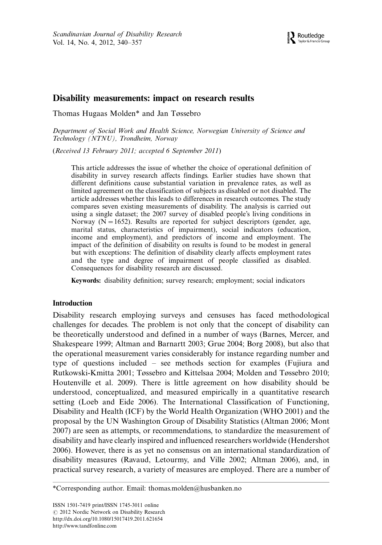## Disability measurements: impact on research results

Thomas Hugaas Molden\* and Jan Tøssebro

Department of Social Work and Health Science, Norwegian University of Science and Technology (NTNU), Trondheim, Norway

(Received 13 February 2011; accepted 6 September 2011)

This article addresses the issue of whether the choice of operational definition of disability in survey research affects findings. Earlier studies have shown that different definitions cause substantial variation in prevalence rates, as well as limited agreement on the classification of subjects as disabled or not disabled. The article addresses whether this leads to differences in research outcomes. The study compares seven existing measurements of disability. The analysis is carried out using a single dataset; the 2007 survey of disabled people's living conditions in Norway ( $N = 1652$ ). Results are reported for subject descriptors (gender, age, marital status, characteristics of impairment), social indicators (education, income and employment), and predictors of income and employment. The impact of the definition of disability on results is found to be modest in general but with exceptions: The definition of disability clearly affects employment rates and the type and degree of impairment of people classified as disabled. Consequences for disability research are discussed.

Keywords: disability definition; survey research; employment; social indicators

## Introduction

Disability research employing surveys and censuses has faced methodological challenges for decades. The problem is not only that the concept of disability can be theoretically understood and defined in a number of ways (Barnes, Mercer, and Shakespeare 1999; Altman and Barnartt 2003; Grue 2004; Borg 2008), but also that the operational measurement varies considerably for instance regarding number and type of questions included - see methods section for examples (Fujiura and Rutkowski-Kmitta 2001; Tøssebro and Kittelsaa 2004; Molden and Tøssebro 2010; Houtenville et al. 2009). There is little agreement on how disability should be understood, conceptualized, and measured empirically in a quantitative research setting (Loeb and Eide 2006). The International Classification of Functioning, Disability and Health (ICF) by the World Health Organization (WHO 2001) and the proposal by the UN Washington Group of Disability Statistics (Altman 2006; Mont 2007) are seen as attempts, or recommendations, to standardize the measurement of disability and have clearly inspired and influenced researchers worldwide (Hendershot 2006). However, there is as yet no consensus on an international standardization of disability measures (Ravaud, Letourmy, and Ville 2002; Altman 2006), and, in practical survey research, a variety of measures are employed. There are a number of

<sup>\*</sup>Corresponding author. Email: thomas.molden@husbanken.no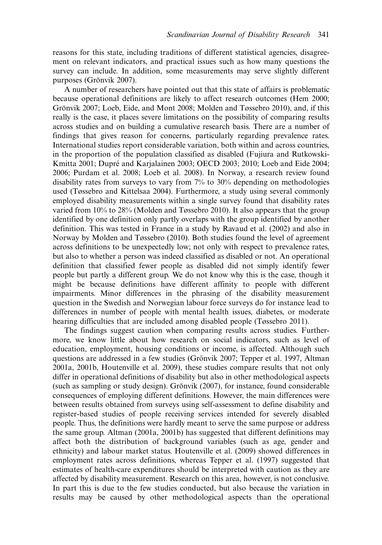reasons for this state, including traditions of different statistical agencies, disagreement on relevant indicators, and practical issues such as how many questions the survey can include. In addition, some measurements may serve slightly different purposes (Grönvik 2007).

A number of researchers have pointed out that this state of affairs is problematic because operational definitions are likely to affect research outcomes (Hem 2000; Grönvik 2007; Loeb, Eide, and Mont 2008; Molden and Tøssebro 2010), and, if this really is the case, it places severe limitations on the possibility of comparing results across studies and on building a cumulative research basis. There are a number of findings that gives reason for concerns, particularly regarding prevalence rates. International studies report considerable variation, both within and across countries, in the proportion of the population classified as disabled (Fujiura and Rutkowski-Kmitta 2001; Dupré and Karjalainen 2003; OECD 2003; 2010; Loeb and Eide 2004; 2006; Purdam et al. 2008; Loeb et al. 2008). In Norway, a research review found disability rates from surveys to vary from  $7\%$  to 30% depending on methodologies used (Tøssebro and Kittelsaa 2004). Furthermore, a study using several commonly employed disability measurements within a single survey found that disability rates varied from 10% to 28% (Molden and Tøssebro 2010). It also appears that the group identified by one definition only partly overlaps with the group identified by another definition. This was tested in France in a study by Ravaud et al. (2002) and also in Norway by Molden and Tøssebro (2010). Both studies found the level of agreement across definitions to be unexpectedly low; not only with respect to prevalence rates, but also to whether a person was indeed classified as disabled or not. An operational definition that classified fewer people as disabled did not simply identify fewer people but partly a different group. We do not know why this is the case, though it might be because definitions have different affinity to people with different impairments. Minor differences in the phrasing of the disability measurement question in the Swedish and Norwegian labour force surveys do for instance lead to differences in number of people with mental health issues, diabetes, or moderate hearing difficulties that are included among disabled people (Tøssebro 2011).

The findings suggest caution when comparing results across studies. Furthermore, we know little about how research on social indicators, such as level of education, employment, housing conditions or income, is affected. Although such questions are addressed in a few studies (Grönvik 2007; Tepper et al. 1997, Altman 2001a, 2001b, Houtenville et al. 2009), these studies compare results that not only differ in operational definitions of disability but also in other methodological aspects (such as sampling or study design). Grönvik  $(2007)$ , for instance, found considerable consequences of employing different definitions. However, the main differences were between results obtained from surveys using self-assessment to define disability and register-based studies of people receiving services intended for severely disabled people. Thus, the definitions were hardly meant to serve the same purpose or address the same group. Altman (2001a, 2001b) has suggested that different definitions may affect both the distribution of background variables (such as age, gender and ethnicity) and labour market status. Houtenville et al. (2009) showed differences in employment rates across definitions, whereas Tepper et al. (1997) suggested that estimates of health-care expenditures should be interpreted with caution as they are affected by disability measurement. Research on this area, however, is not conclusive. In part this is due to the few studies conducted, but also because the variation in results may be caused by other methodological aspects than the operational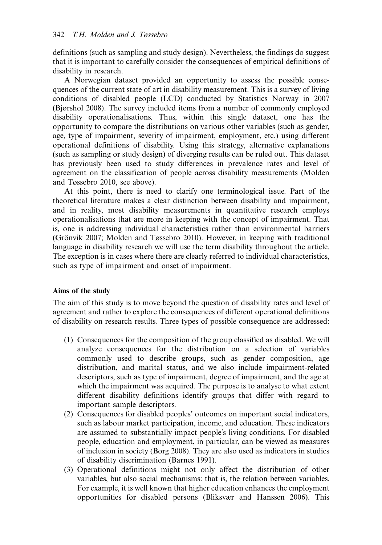definitions (such as sampling and study design). Nevertheless, the findings do suggest that it is important to carefully consider the consequences of empirical definitions of disability in research.

A Norwegian dataset provided an opportunity to assess the possible consequences of the current state of art in disability measurement. This is a survey of living conditions of disabled people (LCD) conducted by Statistics Norway in 2007 (Bjørshol 2008). The survey included items from a number of commonly employed disability operationalisations. Thus, within this single dataset, one has the opportunity to compare the distributions on various other variables (such as gender, age, type of impairment, severity of impairment, employment, etc.) using different operational definitions of disability. Using this strategy, alternative explanations (such as sampling or study design) of diverging results can be ruled out. This dataset has previously been used to study differences in prevalence rates and level of agreement on the classification of people across disability measurements (Molden and Tøssebro 2010, see above).

At this point, there is need to clarify one terminological issue. Part of the theoretical literature makes a clear distinction between disability and impairment, and in reality, most disability measurements in quantitative research employs operationalisations that are more in keeping with the concept of impairment. That is, one is addressing individual characteristics rather than environmental barriers (Grönvik 2007; Molden and Tøssebro 2010). However, in keeping with traditional language in disability research we will use the term disability throughout the article. The exception is in cases where there are clearly referred to individual characteristics, such as type of impairment and onset of impairment.

## Aims of the study

The aim of this study is to move beyond the question of disability rates and level of agreement and rather to explore the consequences of different operational definitions of disability on research results. Three types of possible consequence are addressed:

- (1) Consequences for the composition of the group classified as disabled. We will analyze consequences for the distribution on a selection of variables commonly used to describe groups, such as gender composition, age distribution, and marital status, and we also include impairment-related descriptors, such as type of impairment, degree of impairment, and the age at which the impairment was acquired. The purpose is to analyse to what extent different disability definitions identify groups that differ with regard to important sample descriptors.
- (2) Consequences for disabled peoples' outcomes on important social indicators, such as labour market participation, income, and education. These indicators are assumed to substantially impact people's living conditions. For disabled people, education and employment, in particular, can be viewed as measures of inclusion in society (Borg 2008). They are also used as indicators in studies of disability discrimination (Barnes 1991).
- (3) Operational definitions might not only affect the distribution of other variables, but also social mechanisms: that is, the relation between variables. For example, it is well known that higher education enhances the employment opportunities for disabled persons (Bliksvær and Hanssen 2006). This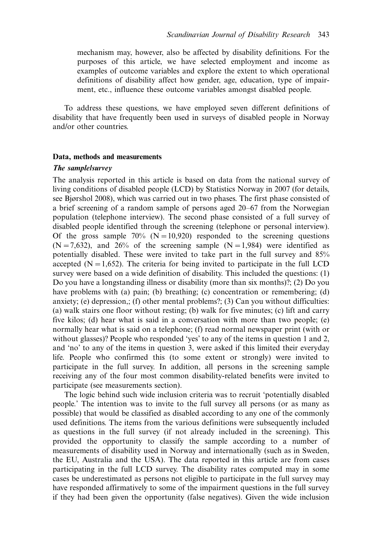mechanism may, however, also be affected by disability definitions. For the purposes of this article, we have selected employment and income as examples of outcome variables and explore the extent to which operational definitions of disability affect how gender, age, education, type of impairment, etc., influence these outcome variables amongst disabled people.

To address these questions, we have employed seven different definitions of disability that have frequently been used in surveys of disabled people in Norway and/or other countries.

## Data, methods and measurements

#### The samplelsurvey

The analysis reported in this article is based on data from the national survey of living conditions of disabled people (LCD) by Statistics Norway in 2007 (for details, see Bjørshol 2008), which was carried out in two phases. The first phase consisted of a brief screening of a random sample of persons aged 20-67 from the Norwegian population (telephone interview). The second phase consisted of a full survey of disabled people identified through the screening (telephone or personal interview). Of the gross sample 70% ( $N=10,920$ ) responded to the screening questions  $(N=7,632)$ , and 26% of the screening sample  $(N=1,984)$  were identified as potentially disabled. These were invited to take part in the full survey and 85% accepted ( $N=1,652$ ). The criteria for being invited to participate in the full LCD survey were based on a wide definition of disability. This included the questions: (1) Do you have a longstanding illness or disability (more than six months)?; (2) Do you have problems with (a) pain; (b) breathing; (c) concentration or remembering; (d) anxiety; (e) depression,; (f) other mental problems?; (3) Can you without difficulties: (a) walk stairs one floor without resting; (b) walk for five minutes; (c) lift and carry five kilos; (d) hear what is said in a conversation with more than two people; (e) normally hear what is said on a telephone; (f) read normal newspaper print (with or without glasses)? People who responded 'yes' to any of the items in question 1 and 2, and 'no' to any of the items in question 3, were asked if this limited their everyday life. People who confirmed this (to some extent or strongly) were invited to participate in the full survey. In addition, all persons in the screening sample receiving any of the four most common disability-related benefits were invited to participate (see measurements section).

The logic behind such wide inclusion criteria was to recruit 'potentially disabled people.' The intention was to invite to the full survey all persons (or as many as possible) that would be classified as disabled according to any one of the commonly used definitions. The items from the various definitions were subsequently included as questions in the full survey (if not already included in the screening). This provided the opportunity to classify the sample according to a number of measurements of disability used in Norway and internationally (such as in Sweden, the EU, Australia and the USA). The data reported in this article are from cases participating in the full LCD survey. The disability rates computed may in some cases be underestimated as persons not eligible to participate in the full survey may have responded affirmatively to some of the impairment questions in the full survey if they had been given the opportunity (false negatives). Given the wide inclusion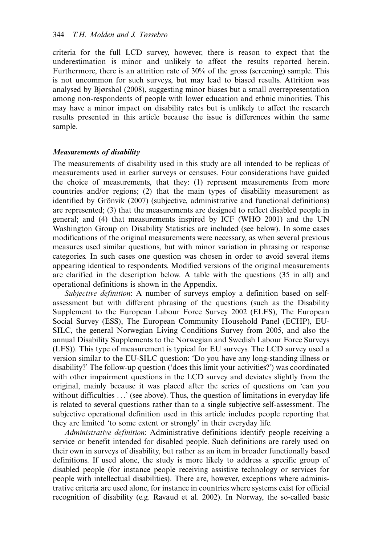criteria for the full LCD survey, however, there is reason to expect that the underestimation is minor and unlikely to affect the results reported herein. Furthermore, there is an attrition rate of 30% of the gross (screening) sample. This is not uncommon for such surveys, but may lead to biased results. Attrition was analysed by Bjørshol (2008), suggesting minor biases but a small overrepresentation among non-respondents of people with lower education and ethnic minorities. This may have a minor impact on disability rates but is unlikely to affect the research results presented in this article because the issue is differences within the same sample.

#### Measurements of disability

The measurements of disability used in this study are all intended to be replicas of measurements used in earlier surveys or censuses. Four considerations have guided the choice of measurements, that they: (1) represent measurements from more countries and/or regions; (2) that the main types of disability measurement as identified by Grönvik  $(2007)$  (subjective, administrative and functional definitions) are represented; (3) that the measurements are designed to reflect disabled people in general; and (4) that measurements inspired by ICF (WHO 2001) and the UN Washington Group on Disability Statistics are included (see below). In some cases modifications of the original measurements were necessary, as when several previous measures used similar questions, but with minor variation in phrasing or response categories. In such cases one question was chosen in order to avoid several items appearing identical to respondents. Modified versions of the original measurements are clarified in the description below. A table with the questions (35 in all) and operational definitions is shown in the Appendix.

Subjective definition: A number of surveys employ a definition based on selfassessment but with different phrasing of the questions (such as the Disability Supplement to the European Labour Force Survey 2002 (ELFS), The European Social Survey (ESS), The European Community Household Panel (ECHP), EU-SILC, the general Norwegian Living Conditions Survey from 2005, and also the annual Disability Supplements to the Norwegian and Swedish Labour Force Surveys (LFS)). This type of measurement is typical for EU surveys. The LCD survey used a version similar to the EU-SILC question: 'Do you have any long-standing illness or disability?' The follow-up question ('does this limit your activities?') was coordinated with other impairment questions in the LCD survey and deviates slightly from the original, mainly because it was placed after the series of questions on 'can you without difficulties ...' (see above). Thus, the question of limitations in everyday life is related to several questions rather than to a single subjective self-assessment. The subjective operational definition used in this article includes people reporting that they are limited 'to some extent or strongly' in their everyday life.

Administrative definition: Administrative definitions identify people receiving a service or benefit intended for disabled people. Such definitions are rarely used on their own in surveys of disability, but rather as an item in broader functionally based definitions. If used alone, the study is more likely to address a specific group of disabled people (for instance people receiving assistive technology or services for people with intellectual disabilities). There are, however, exceptions where administrative criteria are used alone, for instance in countries where systems exist for official recognition of disability (e.g. Ravaud et al. 2002). In Norway, the so-called basic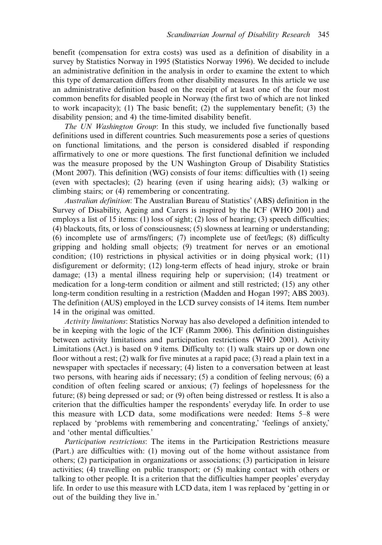benefit (compensation for extra costs) was used as a definition of disability in a survey by Statistics Norway in 1995 (Statistics Norway 1996). We decided to include an administrative definition in the analysis in order to examine the extent to which this type of demarcation differs from other disability measures. In this article we use an administrative definition based on the receipt of at least one of the four most common benefits for disabled people in Norway (the first two of which are not linked to work incapacity); (1) The basic benefit; (2) the supplementary benefit; (3) the disability pension; and 4) the time-limited disability benefit.

The UN Washington Group: In this study, we included five functionally based definitions used in different countries. Such measurements pose a series of questions on functional limitations, and the person is considered disabled if responding affirmatively to one or more questions. The first functional definition we included was the measure proposed by the UN Washington Group of Disability Statistics (Mont 2007). This definition (WG) consists of four items: difficulties with (1) seeing (even with spectacles); (2) hearing (even if using hearing aids); (3) walking or climbing stairs; or (4) remembering or concentrating.

Australian definition: The Australian Bureau of Statistics' (ABS) definition in the Survey of Disability, Ageing and Carers is inspired by the ICF (WHO 2001) and employs a list of 15 items: (1) loss of sight; (2) loss of hearing; (3) speech difficulties; (4) blackouts, fits, or loss of consciousness; (5) slowness at learning or understanding; (6) incomplete use of arms/fingers; (7) incomplete use of feet/legs; (8) difficulty gripping and holding small objects; (9) treatment for nerves or an emotional condition; (10) restrictions in physical activities or in doing physical work; (11) disfigurement or deformity; (12) long-term effects of head injury, stroke or brain damage; (13) a mental illness requiring help or supervision; (14) treatment or medication for a long-term condition or ailment and still restricted; (15) any other long-term condition resulting in a restriction (Madden and Hogan 1997; ABS 2003). The definition (AUS) employed in the LCD survey consists of 14 items. Item number 14 in the original was omitted.

Activity limitations: Statistics Norway has also developed a definition intended to be in keeping with the logic of the ICF (Ramm 2006). This definition distinguishes between activity limitations and participation restrictions (WHO 2001). Activity Limitations (Act.) is based on 9 items. Difficulty to: (1) walk stairs up or down one floor without a rest; (2) walk for five minutes at a rapid pace; (3) read a plain text in a newspaper with spectacles if necessary; (4) listen to a conversation between at least two persons, with hearing aids if necessary; (5) a condition of feeling nervous; (6) a condition of often feeling scared or anxious; (7) feelings of hopelessness for the future; (8) being depressed or sad; or (9) often being distressed or restless. It is also a criterion that the difficulties hamper the respondents' everyday life. In order to use this measure with LCD data, some modifications were needed: Items 5-8 were replaced by 'problems with remembering and concentrating,' 'feelings of anxiety,' and 'other mental difficulties.'

Participation restrictions: The items in the Participation Restrictions measure (Part.) are difficulties with: (1) moving out of the home without assistance from others; (2) participation in organizations or associations; (3) participation in leisure activities; (4) travelling on public transport; or (5) making contact with others or talking to other people. It is a criterion that the difficulties hamper peoples' everyday life. In order to use this measure with LCD data, item 1 was replaced by 'getting in or out of the building they live in.'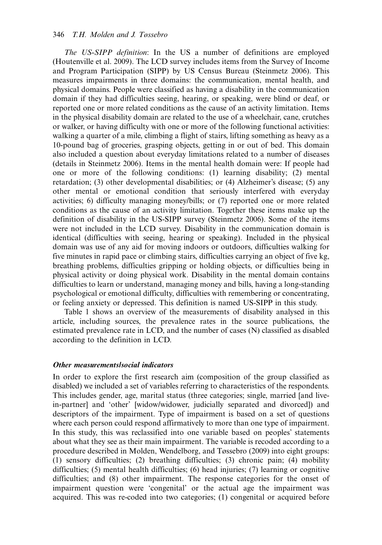The US-SIPP definition: In the US a number of definitions are employed (Houtenville et al. 2009). The LCD survey includes items from the Survey of Income and Program Participation (SIPP) by US Census Bureau (Steinmetz 2006). This measures impairments in three domains: the communication, mental health, and physical domains. People were classified as having a disability in the communication domain if they had difficulties seeing, hearing, or speaking, were blind or deaf, or reported one or more related conditions as the cause of an activity limitation. Items in the physical disability domain are related to the use of a wheelchair, cane, crutches or walker, or having difficulty with one or more of the following functional activities: walking a quarter of a mile, climbing a flight of stairs, lifting something as heavy as a 10-pound bag of groceries, grasping objects, getting in or out of bed. This domain also included a question about everyday limitations related to a number of diseases (details in Steinmetz 2006). Items in the mental health domain were: If people had one or more of the following conditions: (1) learning disability; (2) mental retardation; (3) other developmental disabilities; or (4) Alzheimer's disease; (5) any other mental or emotional condition that seriously interfered with everyday activities; 6) difficulty managing money/bills; or (7) reported one or more related conditions as the cause of an activity limitation. Together these items make up the definition of disability in the US-SIPP survey (Steinmetz 2006). Some of the items were not included in the LCD survey. Disability in the communication domain is identical (difficulties with seeing, hearing or speaking). Included in the physical domain was use of any aid for moving indoors or outdoors, difficulties walking for five minutes in rapid pace or climbing stairs, difficulties carrying an object of five kg, breathing problems, difficulties gripping or holding objects, or difficulties being in physical activity or doing physical work. Disability in the mental domain contains difficulties to learn or understand, managing money and bills, having a long-standing psychological or emotional difficulty, difficulties with remembering or concentrating, or feeling anxiety or depressed. This definition is named US-SIPP in this study.

Table 1 shows an overview of the measurements of disability analysed in this article, including sources, the prevalence rates in the source publications, the estimated prevalence rate in LCD, and the number of cases (N) classified as disabled according to the definition in LCD.

### Other measurements/social indicators

In order to explore the first research aim (composition of the group classified as disabled) we included a set of variables referring to characteristics of the respondents. This includes gender, age, marital status (three categories; single, married [and livein-partner] and 'other' [widow/widower, judicially separated and divorced]) and descriptors of the impairment. Type of impairment is based on a set of questions where each person could respond affirmatively to more than one type of impairment. In this study, this was reclassified into one variable based on peoples' statements about what they see as their main impairment. The variable is recoded according to a procedure described in Molden, Wendelborg, and Tøssebro (2009) into eight groups: (1) sensory difficulties; (2) breathing difficulties; (3) chronic pain; (4) mobility difficulties; (5) mental health difficulties; (6) head injuries; (7) learning or cognitive difficulties; and (8) other impairment. The response categories for the onset of impairment question were 'congenital' or the actual age the impairment was acquired. This was re-coded into two categories; (1) congenital or acquired before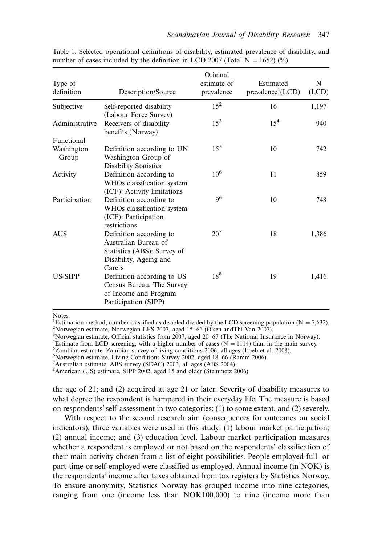| Type of<br>definition | Description/Source                                  | Original<br>estimate of<br>prevalence | Estimated<br>prevalence <sup>1</sup> (LCD) | N<br>(LCD) |
|-----------------------|-----------------------------------------------------|---------------------------------------|--------------------------------------------|------------|
| Subjective            | Self-reported disability                            | $15^2$                                | 16                                         | 1,197      |
|                       | (Labour Force Survey)                               |                                       |                                            |            |
| Administrative        | Receivers of disability<br>benefits (Norway)        | $15^3$                                | 15 <sup>4</sup>                            | 940        |
| Functional            |                                                     |                                       |                                            |            |
| Washington            | Definition according to UN                          | $15^{5}$                              | 10                                         | 742        |
| Group                 | Washington Group of<br><b>Disability Statistics</b> |                                       |                                            |            |
| Activity              | Definition according to                             | 10 <sup>6</sup>                       | 11                                         | 859        |
|                       | WHOs classification system                          |                                       |                                            |            |
|                       | (ICF): Activity limitations                         |                                       |                                            |            |
| Participation         | Definition according to                             | 9 <sup>6</sup>                        | 10                                         | 748        |
|                       | WHOs classification system                          |                                       |                                            |            |
|                       | (ICF): Participation                                |                                       |                                            |            |
|                       | restrictions                                        |                                       |                                            |            |
| <b>AUS</b>            | Definition according to                             | 20 <sup>7</sup>                       | 18                                         | 1,386      |
|                       | Australian Bureau of                                |                                       |                                            |            |
|                       | Statistics (ABS): Survey of                         |                                       |                                            |            |
|                       | Disability, Ageing and                              |                                       |                                            |            |
|                       | Carers                                              |                                       |                                            |            |
| <b>US-SIPP</b>        | Definition according to US                          | $18^{8}$                              | 19                                         | 1,416      |
|                       | Census Bureau, The Survey                           |                                       |                                            |            |
|                       | of Income and Program                               |                                       |                                            |            |
|                       | Participation (SIPP)                                |                                       |                                            |            |

Table 1. Selected operational definitions of disability, estimated prevalence of disability, and number of cases included by the definition in LCD 2007 (Total  $N = 1652$ ) (%).

Notes:

<sup>1</sup>Estimation method, number classified as disabled divided by the LCD screening population (N = 7,632). <sup>2</sup>Norwaging estimate Norwaging LES 2007, and 15, 66 (Olsen and Thi Van 2007). <sup>2</sup>Norwegian estimate, Norwegian LFS 2007, aged 15–66 (Olsen and Thi Van 2007).<br><sup>3</sup>Norwegian estimate, Official statistics from 2007, aged 20, 67 (The National Insur

Norwegian estimate, Official statistics from 2007, aged 20–67 (The National Insurance in Norway).<br><sup>4</sup>Estimate from LCD screening with a higher number of cases (N – 1114) than in the main survey.

<sup>4</sup>Estimate from LCD screening, with a higher number of cases ( $N = 1114$ ) than in the main survey.

 ${}^{5}$ Zambian estimate, Zambian survey of living conditions 2006, all ages (Loeb et al. 2008).

 $^{6}$ Norwegian estimate, Living Conditions Survey 2002, aged 18–66 (Ramm 2006).

 $^7$ Australian estimate, ABS survey (SDAC) 2003, all ages (ABS 2004).

8 American (US) estimate, SIPP 2002, aged 15 and older (Steinmetz 2006).

the age of 21; and (2) acquired at age 21 or later. Severity of disability measures to what degree the respondent is hampered in their everyday life. The measure is based on respondents'self-assessment in two categories; (1) to some extent, and (2) severely.

With respect to the second research aim (consequences for outcomes on social indicators), three variables were used in this study: (1) labour market participation; (2) annual income; and (3) education level. Labour market participation measures whether a respondent is employed or not based on the respondents' classification of their main activity chosen from a list of eight possibilities. People employed full- or part-time or self-employed were classified as employed. Annual income (in NOK) is the respondents' income after taxes obtained from tax registers by Statistics Norway. To ensure anonymity, Statistics Norway has grouped income into nine categories, ranging from one (income less than NOK100,000) to nine (income more than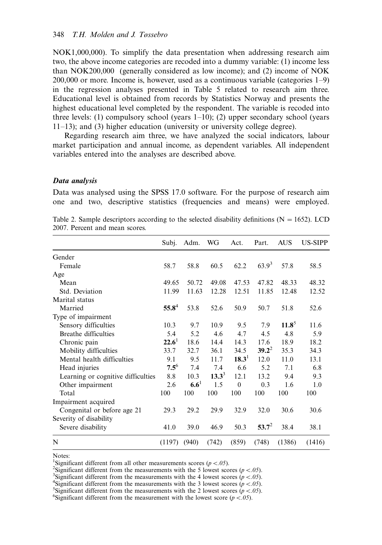NOK1,000,000). To simplify the data presentation when addressing research aim two, the above income categories are recoded into a dummy variable: (1) income less than NOK200,000 (generally considered as low income); and (2) income of NOK 200,000 or more. Income is, however, used as a continuous variable (categories 1-9) in the regression analyses presented in Table 5 related to research aim three. Educational level is obtained from records by Statistics Norway and presents the highest educational level completed by the respondent. The variable is recoded into three levels: (1) compulsory school (years 1-10); (2) upper secondary school (years 11-13); and (3) higher education (university or university college degree).

Regarding research aim three, we have analyzed the social indicators, labour market participation and annual income, as dependent variables. All independent variables entered into the analyses are described above.

#### Data analysis

Data was analysed using the SPSS 17.0 software. For the purpose of research aim one and two, descriptive statistics (frequencies and means) were employed.

|                                    | Subj.     | Adm.    | WG       | Act.              | Part.    | <b>AUS</b> | <b>US-SIPP</b> |
|------------------------------------|-----------|---------|----------|-------------------|----------|------------|----------------|
| Gender                             |           |         |          |                   |          |            |                |
| Female                             | 58.7      | 58.8    | 60.5     | 62.2              | $63.9^3$ | 57.8       | 58.5           |
| Age                                |           |         |          |                   |          |            |                |
| Mean                               | 49.65     | 50.72   | 49.08    | 47.53             | 47.82    | 48.33      | 48.32          |
| Std. Deviation                     | 11.99     | 11.63   | 12.28    | 12.51             | 11.85    | 12.48      | 12.52          |
| Marital status                     |           |         |          |                   |          |            |                |
| Married                            | $55.8^4$  | 53.8    | 52.6     | 50.9              | 50.7     | 51.8       | 52.6           |
| Type of impairment                 |           |         |          |                   |          |            |                |
| Sensory difficulties               | 10.3      | 9.7     | 10.9     | 9.5               | 7.9      | $11.8^5$   | 11.6           |
| Breathe difficulties               | 5.4       | 5.2     | 4.6      | 4.7               | 4.5      | 4.8        | 5.9            |
| Chronic pain                       | $22.6^1$  | 18.6    | 14.4     | 14.3              | 17.6     | 18.9       | 18.2           |
| Mobility difficulties              | 33.7      | 32.7    | 36.1     | 34.5              | $39.2^2$ | 35.3       | 34.3           |
| Mental health difficulties         | 9.1       | 9.5     | 11.7     | 18.3 <sup>1</sup> | 12.0     | 11.0       | 13.1           |
| Head injuries                      | $7.5^{6}$ | 7.4     | 7.4      | 6.6               | 5.2      | 7.1        | 6.8            |
| Learning or cognitive difficulties | 8.8       | 10.3    | $13.3^3$ | 12.1              | 13.2     | 9.4        | 9.3            |
| Other impairment                   | 2.6       | $6.6^1$ | 1.5      | $\theta$          | 0.3      | 1.6        | 1.0            |
| Total                              | 100       | 100     | 100      | 100               | 100      | 100        | 100            |
| Impairment acquired                |           |         |          |                   |          |            |                |
| Congenital or before age 21        | 29.3      | 29.2    | 29.9     | 32.9              | 32.0     | 30.6       | 30.6           |
| Severity of disability             |           |         |          |                   |          |            |                |
| Severe disability                  | 41.0      | 39.0    | 46.9     | 50.3              | $53.7^2$ | 38.4       | 38.1           |
| N                                  | (1197)    | (940)   | (742)    | (859)             | (748)    | (1386)     | (1416)         |

|  | Table 2. Sample descriptors according to the selected disability definitions ( $N = 1652$ ). LCD |  |  |  |  |
|--|--------------------------------------------------------------------------------------------------|--|--|--|--|
|  | 2007. Percent and mean scores.                                                                   |  |  |  |  |

Notes:

<sup>1</sup>Significant different from all other measurements scores  $(p < .05)$ .<br><sup>2</sup>Significant different from the measurements with the 5 lowest sco

<sup>2</sup>Significant different from the measurements with the 5 lowest scores ( $p < .05$ ).

<sup>3</sup>Significant different from the measurements with the 4 lowest scores  $(p < .05)$ .

<sup>4</sup>Significant different from the measurements with the 3 lowest scores ( $p < .05$ ).

<sup>5</sup>Significant different from the measurements with the 2 lowest scores  $(p < .05)$ .

<sup>&</sup>lt;sup>6</sup>Significant different from the measurement with the lowest score ( $p < .05$ ).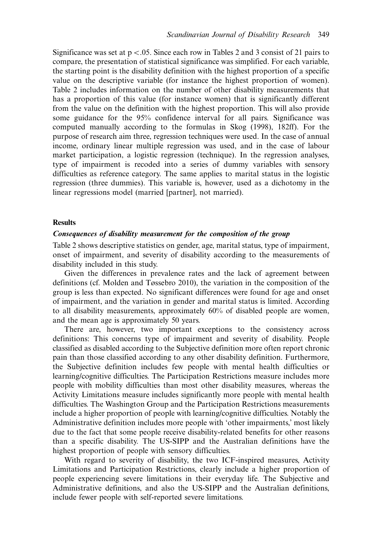Significance was set at  $p < 0.05$ . Since each row in Tables 2 and 3 consist of 21 pairs to compare, the presentation of statistical significance was simplified. For each variable, the starting point is the disability definition with the highest proportion of a specific value on the descriptive variable (for instance the highest proportion of women). Table 2 includes information on the number of other disability measurements that has a proportion of this value (for instance women) that is significantly different from the value on the definition with the highest proportion. This will also provide some guidance for the 95% confidence interval for all pairs. Significance was computed manually according to the formulas in Skog (1998), 182ff). For the purpose of research aim three, regression techniques were used. In the case of annual income, ordinary linear multiple regression was used, and in the case of labour market participation, a logistic regression (technique). In the regression analyses, type of impairment is recoded into a series of dummy variables with sensory difficulties as reference category. The same applies to marital status in the logistic regression (three dummies). This variable is, however, used as a dichotomy in the linear regressions model (married [partner], not married).

## Results

#### Consequences of disability measurement for the composition of the group

Table 2 shows descriptive statistics on gender, age, marital status, type of impairment, onset of impairment, and severity of disability according to the measurements of disability included in this study.

Given the differences in prevalence rates and the lack of agreement between definitions (cf. Molden and Tøssebro 2010), the variation in the composition of the group is less than expected. No significant differences were found for age and onset of impairment, and the variation in gender and marital status is limited. According to all disability measurements, approximately 60% of disabled people are women, and the mean age is approximately 50 years.

There are, however, two important exceptions to the consistency across definitions: This concerns type of impairment and severity of disability. People classified as disabled according to the Subjective definition more often report chronic pain than those classified according to any other disability definition. Furthermore, the Subjective definition includes few people with mental health difficulties or learning/cognitive difficulties. The Participation Restrictions measure includes more people with mobility difficulties than most other disability measures, whereas the Activity Limitations measure includes significantly more people with mental health difficulties. The Washington Group and the Participation Restrictions measurements include a higher proportion of people with learning/cognitive difficulties. Notably the Administrative definition includes more people with 'other impairments,' most likely due to the fact that some people receive disability-related benefits for other reasons than a specific disability. The US-SIPP and the Australian definitions have the highest proportion of people with sensory difficulties.

With regard to severity of disability, the two ICF-inspired measures, Activity Limitations and Participation Restrictions, clearly include a higher proportion of people experiencing severe limitations in their everyday life. The Subjective and Administrative definitions, and also the US-SIPP and the Australian definitions, include fewer people with self-reported severe limitations.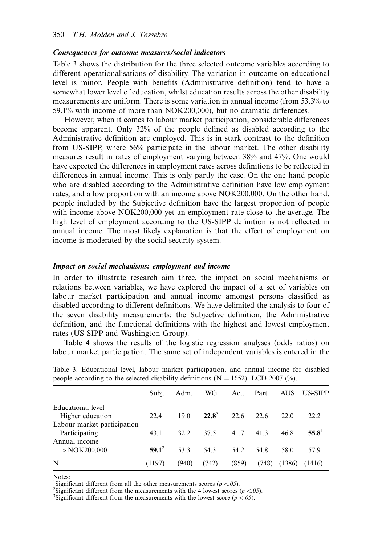#### Consequences for outcome measures/social indicators

Table 3 shows the distribution for the three selected outcome variables according to different operationalisations of disability. The variation in outcome on educational level is minor. People with benefits (Administrative definition) tend to have a somewhat lower level of education, whilst education results across the other disability measurements are uniform. There is some variation in annual income (from 53.3% to 59.1% with income of more than NOK200,000), but no dramatic differences.

However, when it comes to labour market participation, considerable differences become apparent. Only 32% of the people defined as disabled according to the Administrative definition are employed. This is in stark contrast to the definition from US-SIPP, where 56% participate in the labour market. The other disability measures result in rates of employment varying between 38% and 47%. One would have expected the differences in employment rates across definitions to be reflected in differences in annual income. This is only partly the case. On the one hand people who are disabled according to the Administrative definition have low employment rates, and a low proportion with an income above NOK200,000. On the other hand, people included by the Subjective definition have the largest proportion of people with income above NOK200,000 yet an employment rate close to the average. The high level of employment according to the US-SIPP definition is not reflected in annual income. The most likely explanation is that the effect of employment on income is moderated by the social security system.

## Impact on social mechanisms: employment and income

In order to illustrate research aim three, the impact on social mechanisms or relations between variables, we have explored the impact of a set of variables on labour market participation and annual income amongst persons classified as disabled according to different definitions. We have delimited the analysis to four of the seven disability measurements: the Subjective definition, the Administrative definition, and the functional definitions with the highest and lowest employment rates (US-SIPP and Washington Group).

Table 4 shows the results of the logistic regression analyses (odds ratios) on labour market participation. The same set of independent variables is entered in the

| Subi.    | Adm.  | WG    | Act.     | Part. | <b>AUS</b> | <b>US-SIPP</b> |
|----------|-------|-------|----------|-------|------------|----------------|
|          |       |       |          |       |            |                |
|          |       |       |          |       |            | 22.2           |
|          |       |       |          |       |            |                |
| 43.1     | 32.2  | 37.5  | 41.7     | 41.3  | 46.8       | $55.8^1$       |
|          |       |       |          |       |            |                |
| $59.1^2$ | 53.3  | 54.3  | 54.2     | 54.8  | 58.0       | 57.9           |
| (1197)   | (940) | (742) | (859)    | (748) | (1386)     | (1416)         |
|          | 22.4  | 19.0  | $22.8^3$ | 22.6  | 22.6       | 22.0           |

Table 3. Educational level, labour market participation, and annual income for disabled people according to the selected disability definitions ( $N = 1652$ ). LCD 2007 (%).

Notes:

<sup>1</sup>Significant different from all the other measurements scores  $(p < .05)$ .<br><sup>2</sup>Significant different from the measurements with the 4 lowest scores.

<sup>2</sup>Significant different from the measurements with the 4 lowest scores ( $p < .05$ ).

<sup>3</sup>Significant different from the measurements with the lowest score ( $p < .05$ ).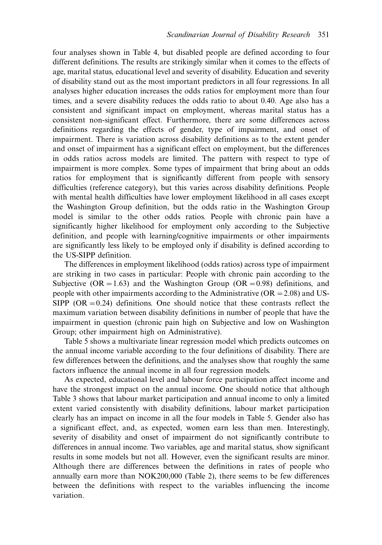four analyses shown in Table 4, but disabled people are defined according to four different definitions. The results are strikingly similar when it comes to the effects of age, marital status, educational level and severity of disability. Education and severity of disability stand out as the most important predictors in all four regressions. In all analyses higher education increases the odds ratios for employment more than four times, and a severe disability reduces the odds ratio to about 0.40. Age also has a consistent and significant impact on employment, whereas marital status has a consistent non-significant effect. Furthermore, there are some differences across definitions regarding the effects of gender, type of impairment, and onset of impairment. There is variation across disability definitions as to the extent gender and onset of impairment has a significant effect on employment, but the differences in odds ratios across models are limited. The pattern with respect to type of impairment is more complex. Some types of impairment that bring about an odds ratios for employment that is significantly different from people with sensory difficulties (reference category), but this varies across disability definitions. People with mental health difficulties have lower employment likelihood in all cases except the Washington Group definition, but the odds ratio in the Washington Group model is similar to the other odds ratios. People with chronic pain have a significantly higher likelihood for employment only according to the Subjective definition, and people with learning/cognitive impairments or other impairments are significantly less likely to be employed only if disability is defined according to the US-SIPP definition.

The differences in employment likelihood (odds ratios) across type of impairment are striking in two cases in particular: People with chronic pain according to the Subjective (OR = 1.63) and the Washington Group (OR = 0.98) definitions, and people with other impairments according to the Administrative ( $OR = 2.08$ ) and US-SIPP (OR  $=0.24$ ) definitions. One should notice that these contrasts reflect the maximum variation between disability definitions in number of people that have the impairment in question (chronic pain high on Subjective and low on Washington Group; other impairment high on Administrative).

Table 5 shows a multivariate linear regression model which predicts outcomes on the annual income variable according to the four definitions of disability. There are few differences between the definitions, and the analyses show that roughly the same factors influence the annual income in all four regression models.

As expected, educational level and labour force participation affect income and have the strongest impact on the annual income. One should notice that although Table 3 shows that labour market participation and annual income to only a limited extent varied consistently with disability definitions, labour market participation clearly has an impact on income in all the four models in Table 5. Gender also has a significant effect, and, as expected, women earn less than men. Interestingly, severity of disability and onset of impairment do not significantly contribute to differences in annual income. Two variables, age and marital status, show significant results in some models but not all. However, even the significant results are minor. Although there are differences between the definitions in rates of people who annually earn more than NOK200,000 (Table 2), there seems to be few differences between the definitions with respect to the variables influencing the income variation.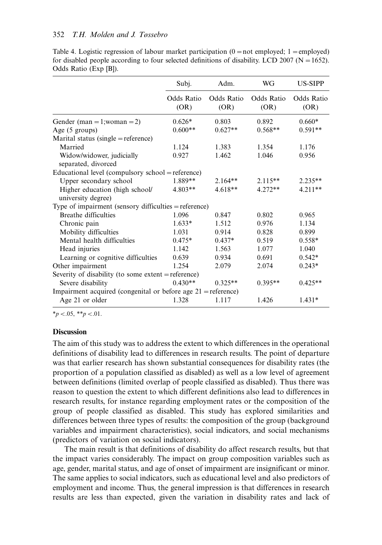#### 352 T.H. Molden and J. Tøssebro

|                                                                 | Subj.              | Adm.               | WG                 | US-SIPP            |
|-----------------------------------------------------------------|--------------------|--------------------|--------------------|--------------------|
|                                                                 | Odds Ratio<br>(OR) | Odds Ratio<br>(OR) | Odds Ratio<br>(OR) | Odds Ratio<br>(OR) |
| Gender (man = 1; woman = 2)                                     | $0.626*$           | 0.803              | 0.892              | $0.660*$           |
| Age $(5 \text{ groups})$                                        | $0.600**$          | $0.627**$          | $0.568**$          | $0.591**$          |
| Marital status (single = reference)                             |                    |                    |                    |                    |
| Married                                                         | 1.124              | 1.383              | 1.354              | 1.176              |
| Widow/widower, judicially<br>separated, divorced                | 0.927              | 1.462              | 1.046              | 0.956              |
| Educational level (compulsory school = reference)               |                    |                    |                    |                    |
| Upper secondary school                                          | 1.889**            | $2.164**$          | $2.115**$          | $2.235**$          |
| Higher education (high school/<br>university degree)            | $4.803**$          | $4.618**$          | $4.272**$          | $4.211**$          |
| Type of impairment (sensory difficulties $=$ reference)         |                    |                    |                    |                    |
| <b>Breathe difficulties</b>                                     | 1.096              | 0.847              | 0.802              | 0.965              |
| Chronic pain                                                    | $1.633*$           | 1.512              | 0.976              | 1.134              |
| Mobility difficulties                                           | 1.031              | 0.914              | 0.828              | 0.899              |
| Mental health difficulties                                      | $0.475*$           | $0.437*$           | 0.519              | $0.558*$           |
| Head injuries                                                   | 1.142              | 1.563              | 1.077              | 1.040              |
| Learning or cognitive difficulties                              | 0.639              | 0.934              | 0.691              | $0.542*$           |
| Other impairment                                                | 1.254              | 2.079              | 2.074              | $0.243*$           |
| Severity of disability (to some extent $=$ reference)           |                    |                    |                    |                    |
| Severe disability                                               | $0.430**$          | $0.325**$          | $0.395**$          | $0.425**$          |
| Impairment acquired (congenital or before age $21$ = reference) |                    |                    |                    |                    |
| Age 21 or older                                                 | 1.328              | 1.117              | 1.426              | $1.431*$           |

Table 4. Logistic regression of labour market participation  $(0 = not$  employed; 1 = employed) for disabled people according to four selected definitions of disability. LCD 2007 ( $N = 1652$ ). Odds Ratio (Exp [B]).

 $*_{p}$  < 0.05,  $*_{p}$  < 0.01.

## **Discussion**

The aim of this study was to address the extent to which differences in the operational definitions of disability lead to differences in research results. The point of departure was that earlier research has shown substantial consequences for disability rates (the proportion of a population classified as disabled) as well as a low level of agreement between definitions (limited overlap of people classified as disabled). Thus there was reason to question the extent to which different definitions also lead to differences in research results, for instance regarding employment rates or the composition of the group of people classified as disabled. This study has explored similarities and differences between three types of results: the composition of the group (background variables and impairment characteristics), social indicators, and social mechanisms (predictors of variation on social indicators).

The main result is that definitions of disability do affect research results, but that the impact varies considerably. The impact on group composition variables such as age, gender, marital status, and age of onset of impairment are insignificant or minor. The same applies to social indicators, such as educational level and also predictors of employment and income. Thus, the general impression is that differences in research results are less than expected, given the variation in disability rates and lack of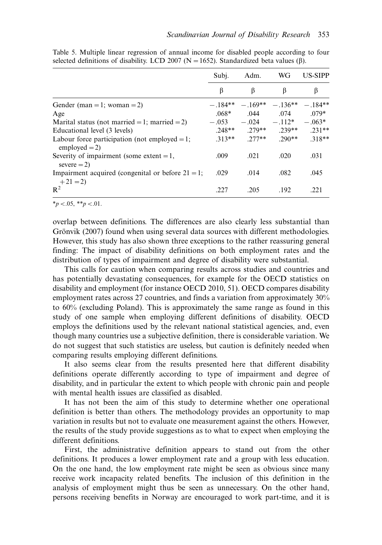|                                                                      | Subi.     | Adm.                                   | WG              | <b>US-SIPP</b> |
|----------------------------------------------------------------------|-----------|----------------------------------------|-----------------|----------------|
|                                                                      | β         | β                                      | β               | β              |
| Gender (man = 1; woman = 2)                                          | $-.184**$ |                                        | $-169** -136**$ | $-.184**$      |
| Age                                                                  | $.068*$   | .044                                   | .074            | $.079*$        |
| Marital status (not married = 1; married = 2)                        |           | $-.053$ $-.024$ $-.112^*$ $-.063^*$    |                 |                |
| Educational level (3 levels)                                         |           | $.248***$ $.279***$ $.239***$ $.231**$ |                 |                |
| Labour force participation (not employed $= 1$ ;<br>employed $= 2$ ) |           | $.313**$ 2.77**                        | $290**$         | $.318**$       |
| Severity of impairment (some extent $= 1$ ,<br>$severe = 2$          | .009      | .021                                   | .020            | .031           |
| Impairment acquired (congenital or before $21 = 1$ ;<br>$+21=2$      | .029      | .014                                   | .082            | .045           |
| $R^2$                                                                | .227      | .205                                   | .192            | .221           |

Table 5. Multiple linear regression of annual income for disabled people according to four selected definitions of disability. LCD 2007 ( $N = 1652$ ). Standardized beta values (6).

 $*_{p}$  < 0.05, \*\*p < 0.01.

overlap between definitions. The differences are also clearly less substantial than Grönvik (2007) found when using several data sources with different methodologies. However, this study has also shown three exceptions to the rather reassuring general finding: The impact of disability definitions on both employment rates and the distribution of types of impairment and degree of disability were substantial.

This calls for caution when comparing results across studies and countries and has potentially devastating consequences, for example for the OECD statistics on disability and employment (for instance OECD 2010, 51). OECD compares disability employment rates across 27 countries, and finds a variation from approximately 30% to 60% (excluding Poland). This is approximately the same range as found in this study of one sample when employing different definitions of disability. OECD employs the definitions used by the relevant national statistical agencies, and, even though many countries use a subjective definition, there is considerable variation. We do not suggest that such statistics are useless, but caution is definitely needed when comparing results employing different definitions.

It also seems clear from the results presented here that different disability definitions operate differently according to type of impairment and degree of disability, and in particular the extent to which people with chronic pain and people with mental health issues are classified as disabled.

It has not been the aim of this study to determine whether one operational definition is better than others. The methodology provides an opportunity to map variation in results but not to evaluate one measurement against the others. However, the results of the study provide suggestions as to what to expect when employing the different definitions.

First, the administrative definition appears to stand out from the other definitions. It produces a lower employment rate and a group with less education. On the one hand, the low employment rate might be seen as obvious since many receive work incapacity related benefits. The inclusion of this definition in the analysis of employment might thus be seen as unnecessary. On the other hand, persons receiving benefits in Norway are encouraged to work part-time, and it is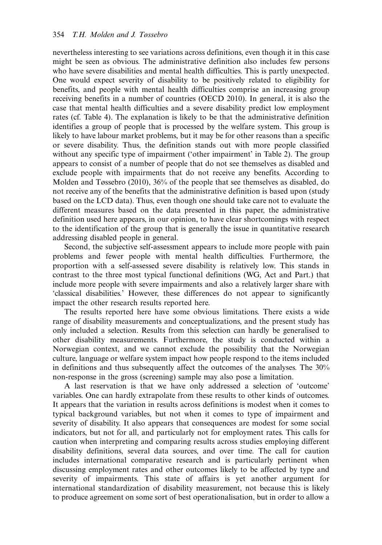nevertheless interesting to see variations across definitions, even though it in this case might be seen as obvious. The administrative definition also includes few persons who have severe disabilities and mental health difficulties. This is partly unexpected. One would expect severity of disability to be positively related to eligibility for benefits, and people with mental health difficulties comprise an increasing group receiving benefits in a number of countries (OECD 2010). In general, it is also the case that mental health difficulties and a severe disability predict low employment rates (cf. Table 4). The explanation is likely to be that the administrative definition identifies a group of people that is processed by the welfare system. This group is likely to have labour market problems, but it may be for other reasons than a specific or severe disability. Thus, the definition stands out with more people classified without any specific type of impairment ('other impairment' in Table 2). The group appears to consist of a number of people that do not see themselves as disabled and exclude people with impairments that do not receive any benefits. According to Molden and Tøssebro (2010), 36% of the people that see themselves as disabled, do not receive any of the benefits that the administrative definition is based upon (study based on the LCD data). Thus, even though one should take care not to evaluate the different measures based on the data presented in this paper, the administrative definition used here appears, in our opinion, to have clear shortcomings with respect to the identification of the group that is generally the issue in quantitative research addressing disabled people in general.

Second, the subjective self-assessment appears to include more people with pain problems and fewer people with mental health difficulties. Furthermore, the proportion with a self-assessed severe disability is relatively low. This stands in contrast to the three most typical functional definitions (WG, Act and Part.) that include more people with severe impairments and also a relatively larger share with 'classical disabilities.' However, these differences do not appear to significantly impact the other research results reported here.

The results reported here have some obvious limitations. There exists a wide range of disability measurements and conceptualizations, and the present study has only included a selection. Results from this selection can hardly be generalised to other disability measurements. Furthermore, the study is conducted within a Norwegian context, and we cannot exclude the possibility that the Norwegian culture, language or welfare system impact how people respond to the items included in definitions and thus subsequently affect the outcomes of the analyses. The 30% non-response in the gross (screening) sample may also pose a limitation.

A last reservation is that we have only addressed a selection of 'outcome' variables. One can hardly extrapolate from these results to other kinds of outcomes. It appears that the variation in results across definitions is modest when it comes to typical background variables, but not when it comes to type of impairment and severity of disability. It also appears that consequences are modest for some social indicators, but not for all, and particularly not for employment rates. This calls for caution when interpreting and comparing results across studies employing different disability definitions, several data sources, and over time. The call for caution includes international comparative research and is particularly pertinent when discussing employment rates and other outcomes likely to be affected by type and severity of impairments. This state of affairs is yet another argument for international standardization of disability measurement, not because this is likely to produce agreement on some sort of best operationalisation, but in order to allow a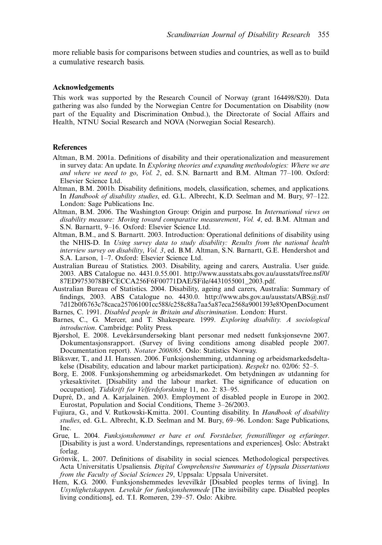more reliable basis for comparisons between studies and countries, as well as to build a cumulative research basis.

#### Acknowledgements

This work was supported by the Research Council of Norway (grant 164498/S20). Data gathering was also funded by the Norwegian Centre for Documentation on Disability (now part of the Equality and Discrimination Ombud.), the Directorate of Social Affairs and Health, NTNU Social Research and NOVA (Norwegian Social Research).

#### **References**

- Altman, B.M. 2001a. Definitions of disability and their operationalization and measurement in survey data: An update. In Exploring theories and expanding methodologies: Where we are and where we need to go, Vol. 2, ed. S.N. Barnartt and B.M. Altman 77–100. Oxford: Elsevier Science Ltd.
- Altman, B.M. 2001b. Disability definitions, models, classification, schemes, and applications. In Handbook of disability studies, ed. G.L. Albrecht, K.D. Seelman and M. Bury, 97-122. London: Sage Publications Inc.
- Altman, B.M. 2006. The Washington Group: Origin and purpose. In International views on disability measure: Moving toward comparative measurement, Vol. 4, ed. B.M. Altman and S.N. Barnartt, 9-16. Oxford: Elsevier Science Ltd.
- Altman, B.M., and S. Barnartt. 2003. Introduction: Operational definitions of disability using the NHIS-D. In Using survey data to study disability: Results from the national health interview survey on disability, Vol. 3, ed. B.M. Altman, S.N. Barnartt, G.E. Hendershot and S.A. Larson, 1-7. Oxford: Elsevier Science Ltd.
- Australian Bureau of Statistics. 2003. Disability, ageing and carers, Australia. User guide. 2003. ABS Catalogue no. 4431.0.55.001. [http://www.ausstats.abs.gov.au/ausstats/free.nsf/0/](http://www.ausstats.abs.gov.au/ausstats/free.nsf/0/87ED9753078BFCECCA256F6F00771DAE/$File/4431055001_2003.pdf) [87ED9753078BFCECCA256F6F00771DAE/\\$File/4431055001\\_2003.pdf.](http://www.ausstats.abs.gov.au/ausstats/free.nsf/0/87ED9753078BFCECCA256F6F00771DAE/$File/4431055001_2003.pdf)
- Australian Bureau of Statistics. 2004. Disability, ageing and carers, Australia: Summary of findings, 2003. ABS Catalogue no. 4430.0. [http://www.abs.gov.au/ausstats/ABS@.nsf/](http://www.abs.gov.au/ausstats/ABS@.nsf/7d12b0f6763c78caca257061001cc588/c258c88a7aa5a87eca2568a9001393e8!OpenDocument) [7d12b0f6763c78caca257061001cc588/c258c88a7aa5a87eca2568a9001393e8!OpenDocument](http://www.abs.gov.au/ausstats/ABS@.nsf/7d12b0f6763c78caca257061001cc588/c258c88a7aa5a87eca2568a9001393e8!OpenDocument)
- Barnes, C. 1991. Disabled people in Britain and discrimination. London: Hurst.
- Barnes, C., G. Mercer, and T. Shakespeare. 1999. Exploring disability. A sociological introduction. Cambridge: Polity Press.
- Bjørshol, E. 2008. Levekårsundersøking blant personar med nedsett funksjonsevne 2007. Dokumentasjonsrapport. (Survey of living conditions among disabled people 2007. Documentation report). Notater 2008/65. Oslo: Statistics Norway.
- Bliksvær, T., and J.I. Hanssen. 2006. Funksjonshemming, utdanning og arbeidsmarkedsdeltakelse (Disability, education and labour market participation). *Respekt* no. 02/06: 52–5.
- Borg, E. 2008. Funksjonshemming og arbeidsmarkedet. Om betydningen av utdanning for yrkesaktivitet. [Disability and the labour market. The significance of education on occupation]. Tidskrift for Velferdsforskning 11, no. 2: 83-95.
- Dupré, D., and A. Karjalainen. 2003. Employment of disabled people in Europe in 2002. Eurostat, Population and Social Conditions, Theme 3-26/2003.
- Fujiura, G., and V. Rutkowski-Kmitta. 2001. Counting disability. In Handbook of disability studies, ed. G.L. Albrecht, K.D. Seelman and M. Bury, 69–96. London: Sage Publications, Inc.
- Grue, L. 2004. Funksjonshemmet er bare et ord. Forståelser, fremstillinger og erfaringer. [Disability is just a word. Understandings, representations and experiences]. Oslo: Abstrakt forlag.
- Grönvik, L. 2007. Definitions of disability in social sciences. Methodological perspectives. Acta Universitatis Upsaliensis. Digital Comprehensive Summaries of Uppsala Dissertations from the Faculty of Social Sciences 29, Uppsala: Uppsala Universitet.
- Hem, K.G. 2000. Funksjonshemmedes levevilkår [Disabled peoples terms of living]. In Usynlighetskappen. Levekår for funksjonshemmede [The invisibility cape. Disabled peoples living conditions], ed. T.I. Romøren, 239-57. Oslo: Akibre.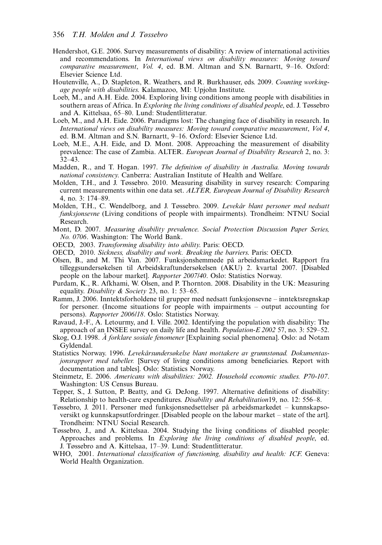- Hendershot, G.E. 2006. Survey measurements of disability: A review of international activities and recommendations. In International views on disability measures: Moving toward comparative measurement, Vol. 4, ed. B.M. Altman and S.N. Barnartt, 9-16. Oxford: Elsevier Science Ltd.
- Houtenville, A., D. Stapleton, R. Weathers, and R. Burkhauser, eds. 2009. Counting workingage people with disabilities. Kalamazoo, MI: Upjohn Institute.
- Loeb, M., and A.H. Eide. 2004. Exploring living conditions among people with disabilities in southern areas of Africa. In *Exploring the living conditions of disabled people*, ed. J. Tøssebro and A. Kittelsaa, 65-80. Lund: Studentlitteratur.
- Loeb, M., and A.H. Eide. 2006. Paradigms lost: The changing face of disability in research. In International views on disability measures: Moving toward comparative measurement, Vol 4, ed. B.M. Altman and S.N. Barnartt, 9-16. Oxford: Elsevier Science Ltd.
- Loeb, M.E., A.H. Eide, and D. Mont. 2008. Approaching the measurement of disability prevalence: The case of Zambia. ALTER. European Journal of Disability Research 2, no. 3: 32-43.
- Madden, R., and T. Hogan. 1997. The definition of disability in Australia. Moving towards national consistency. Canberra: Australian Institute of Health and Welfare.
- Molden, T.H., and J. Tøssebro. 2010. Measuring disability in survey research: Comparing current measurements within one data set. ALTER, European Journal of Disability Research 4, no. 3: 174-89.
- Molden, T.H., C. Wendelborg, and J. Tøssebro. 2009. Levekår blant personer med nedsatt funksjonsevne (Living conditions of people with impairments). Trondheim: NTNU Social Research.
- Mont, D. 2007. Measuring disability prevalence. Social Protection Discussion Paper Series, No. 0706. Washington: The World Bank.
- OECD, 2003. Transforming disability into ability. Paris: OECD.
- OECD, 2010. Sickness, disability and work. Breaking the barriers. Paris: OECD.
- Olsen, B., and M. Thi Van. 2007. Funksjonshemmede på arbeidsmarkedet. Rapport fra tilleggsundersøkelsen til Arbeidskraftundersøkelsen (AKU) 2. kvartal 2007. [Disabled people on the labour market]. Rapporter 2007/40. Oslo: Statistics Norway.
- Purdam, K., R. Afkhami, W. Olsen, and P. Thornton. 2008. Disability in the UK: Measuring equality. Disability & Society 23, no. 1: 53–65.
- Ramm, J. 2006. Inntektsforholdene til grupper med nedsatt funksjonsevne inntektsregnskap for personer. (Income situations for people with impairments – output accounting for persons). Rapporter 2006/18. Oslo: Statistics Norway.
- Ravaud, J.-F., A. Letourmy, and I. Ville. 2002. Identifying the population with disability: The approach of an INSEE survey on daily life and health. *Population-E* 2002 57, no. 3: 529–52.
- Skog, O.J. 1998. A˚ forklare sosiale fenomener [Explaining social phenomena]. Oslo: ad Notam Gyldendal.
- Statistics Norway. 1996. Levekårsundersøkelse blant mottakere av grunnstønad. Dokumentas*jonsrapport med tabeller.* [Survey of living conditions among beneficiaries. Report with documentation and tables]. Oslo: Statistics Norway.
- Steinmetz, E. 2006. Americans with disabilities: 2002. Household economic studies. P70-107. Washington: US Census Bureau.
- Tepper, S., J. Sutton, P. Beatty, and G. DeJong. 1997. Alternative definitions of disability: Relationship to health-care expenditures. *Disability and Rehabilitation*19, no. 12: 556–8.
- Tøssebro, J. 2011. Personer med funksjonsnedsettelser på arbeidsmarkedet kunnskapsoversikt og kunnskapsutfordringer. [Disabled people on the labour market – state of the art]. Trondheim: NTNU Social Research.
- Tøssebro, J., and A. Kittelsaa. 2004. Studying the living conditions of disabled people: Approaches and problems. In Exploring the living conditions of disabled people, ed. J. Tøssebro and A. Kittelsaa, 17-39. Lund: Studentlitteratur.
- WHO, 2001. International classification of functioning, disability and health: ICF. Geneva: World Health Organization.